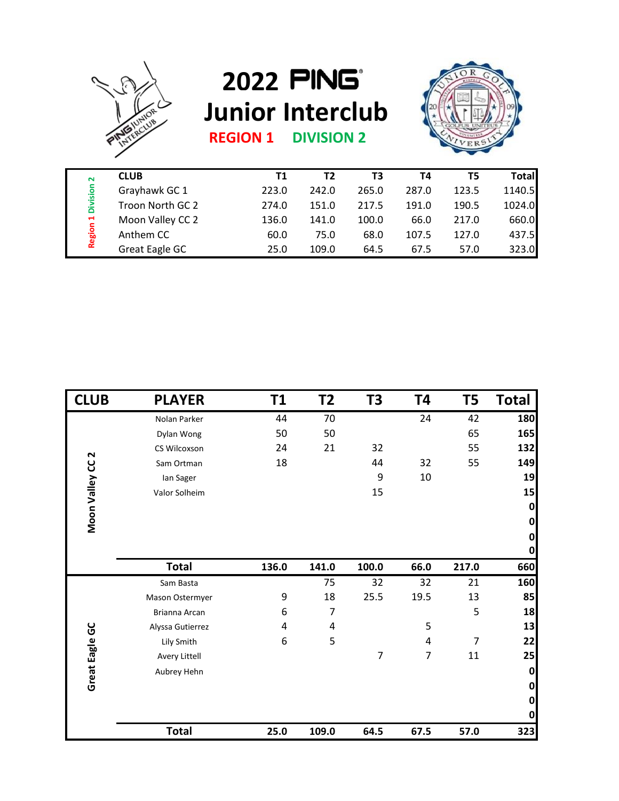

## **2022 Junior Interclub**



**REGION 1 DIVISION 2**

| <b>CLUB</b>      | T1    | T2    | T3    | Τ4    | T5    | Total  |
|------------------|-------|-------|-------|-------|-------|--------|
| Grayhawk GC 1    | 223.0 | 242.0 | 265.0 | 287.0 | 123.5 | 1140.5 |
| Troon North GC 2 | 274.0 | 151.0 | 217.5 | 191.0 | 190.5 | 1024.0 |
| Moon Valley CC 2 | 136.0 | 141.0 | 100.0 | 66.0  | 217.0 | 660.0  |
| Anthem CC        | 60.0  | 75.0  | 68.0  | 107.5 | 127.0 | 437.5  |
| Great Eagle GC   | 25.0  | 109.0 | 64.5  | 67.5  | 57.0  | 323.0  |
|                  |       |       |       |       |       |        |

| Region 1 Division 2         | Grayhawk GC 1         | 223.0     | 242.0          | 265.0                    | 287.0                    | 123.5          | 1140.5       |
|-----------------------------|-----------------------|-----------|----------------|--------------------------|--------------------------|----------------|--------------|
|                             | Troon North GC 2      | 274.0     | 151.0          | 217.5                    | 191.0                    | 190.5          | 1024.0       |
|                             | Moon Valley CC 2      | 136.0     | 141.0          | 100.0                    | 66.0                     | 217.0          | 660.0        |
|                             | Anthem CC             | 60.0      | 75.0           | 68.0                     | 107.5                    | 127.0          | 437.5        |
|                             | <b>Great Eagle GC</b> | 25.0      | 109.0          | 64.5                     | 67.5                     | 57.0           | 323.0        |
|                             |                       |           |                |                          |                          |                |              |
| <b>CLUB</b>                 | <b>PLAYER</b>         | <b>T1</b> | T <sub>2</sub> | T <sub>3</sub>           | T4                       | T <sub>5</sub> | <b>Total</b> |
|                             | Nolan Parker          | 44        | 70             |                          | 24                       | 42             | 180          |
|                             | Dylan Wong            | 50        | 50             |                          |                          | 65             | 165          |
|                             | CS Wilcoxson          | 24        | 21             | 32                       |                          | 55             | 132          |
|                             | Sam Ortman            | 18        |                | 44                       | 32                       | 55             | 149          |
|                             | lan Sager             |           |                | 9                        | 10                       |                | 19           |
|                             | Valor Solheim         |           |                | 15                       |                          |                | 15           |
|                             |                       |           |                |                          |                          |                | $\mathbf{0}$ |
| Moon Valley CC <sub>2</sub> |                       |           |                |                          |                          |                | $\mathbf{0}$ |
|                             |                       |           |                |                          |                          |                | $\mathbf{0}$ |
|                             |                       |           |                |                          |                          |                | $\mathbf{0}$ |
|                             | <b>Total</b>          | 136.0     | 141.0          | 100.0                    | 66.0                     | 217.0          | 660          |
|                             | Sam Basta             |           | 75             | 32                       | 32                       | 21             | 160          |
|                             | Mason Ostermyer       | 9         | 18             | 25.5                     | 19.5                     | 13             | 85           |
|                             | Brianna Arcan         | 6         | 7              |                          |                          | 5              | 18           |
|                             | Alyssa Gutierrez      | 4         | 4              |                          | 5                        |                | 13           |
|                             | Lily Smith            | 6         | 5              |                          | 4                        | $\overline{7}$ | 22           |
|                             | Avery Littell         |           |                | $\overline{\mathcal{I}}$ | $\overline{\mathcal{I}}$ | $11\,$         | 25           |
| Great Eagle GC              | Aubrey Hehn           |           |                |                          |                          |                | $\mathbf 0$  |
|                             |                       |           |                |                          |                          |                | $\mathbf 0$  |
|                             |                       |           |                |                          |                          |                | $\mathbf{0}$ |
|                             |                       |           |                |                          |                          |                | $\mathbf 0$  |
|                             | <b>Total</b>          | 25.0      | 109.0          | 64.5                     | 67.5                     | 57.0           | 323          |